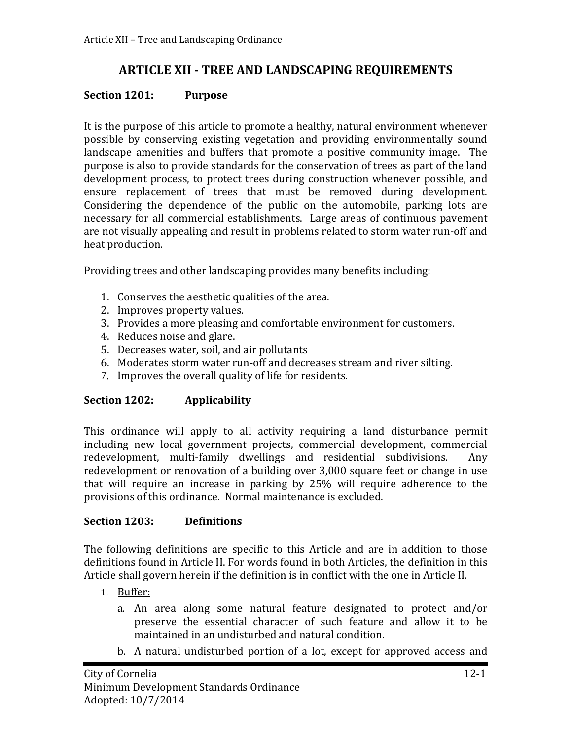# **ARTICLE XII - TREE AND LANDSCAPING REQUIREMENTS**

#### **Section 1201: Purpose**

It is the purpose of this article to promote a healthy, natural environment whenever possible by conserving existing vegetation and providing environmentally sound landscape amenities and buffers that promote a positive community image. The purpose is also to provide standards for the conservation of trees as part of the land development process, to protect trees during construction whenever possible, and ensure replacement of trees that must be removed during development. Considering the dependence of the public on the automobile, parking lots are necessary for all commercial establishments. Large areas of continuous pavement are not visually appealing and result in problems related to storm water run-off and heat production.

Providing trees and other landscaping provides many benefits including:

- 1. Conserves the aesthetic qualities of the area.
- 2. Improves property values.
- 3. Provides a more pleasing and comfortable environment for customers.
- 4. Reduces noise and glare.
- 5. Decreases water, soil, and air pollutants
- 6. Moderates storm water run-off and decreases stream and river silting.
- 7. Improves the overall quality of life for residents.

## **Section 1202: Applicability**

This ordinance will apply to all activity requiring a land disturbance permit including new local government projects, commercial development, commercial redevelopment, multi-family dwellings and residential subdivisions. Any redevelopment, multi-family dwellings and residential subdivisions. redevelopment or renovation of a building over 3,000 square feet or change in use that will require an increase in parking by 25% will require adherence to the provisions of this ordinance. Normal maintenance is excluded.

## **Section 1203: Definitions**

The following definitions are specific to this Article and are in addition to those definitions found in Article II. For words found in both Articles, the definition in this Article shall govern herein if the definition is in conflict with the one in Article II.

- 1. Buffer:
	- a. An area along some natural feature designated to protect and/or preserve the essential character of such feature and allow it to be maintained in an undisturbed and natural condition.
	- b. A natural undisturbed portion of a lot, except for approved access and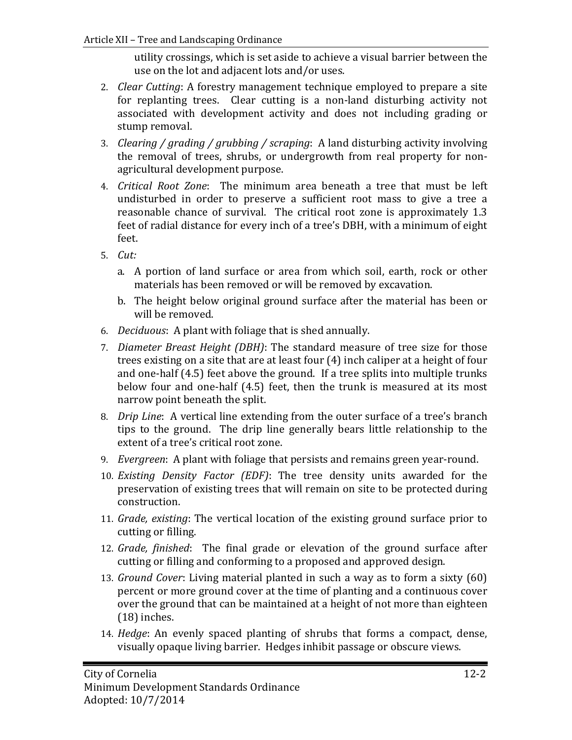utility crossings, which is set aside to achieve a visual barrier between the use on the lot and adjacent lots and/or uses.

- 2. *Clear Cutting*: A forestry management technique employed to prepare a site for replanting trees. Clear cutting is a non-land disturbing activity not associated with development activity and does not including grading or stump removal.
- 3. *Clearing / grading / grubbing / scraping*: A land disturbing activity involving the removal of trees, shrubs, or undergrowth from real property for nonagricultural development purpose.
- 4. *Critical Root Zone*: The minimum area beneath a tree that must be left undisturbed in order to preserve a sufficient root mass to give a tree a reasonable chance of survival. The critical root zone is approximately 1.3 feet of radial distance for every inch of a tree's DBH, with a minimum of eight feet.
- 5. *Cut:* 
	- a. A portion of land surface or area from which soil, earth, rock or other materials has been removed or will be removed by excavation.
	- b. The height below original ground surface after the material has been or will be removed.
- 6. *Deciduous*: A plant with foliage that is shed annually.
- 7. *Diameter Breast Height (DBH)*: The standard measure of tree size for those trees existing on a site that are at least four (4) inch caliper at a height of four and one-half (4.5) feet above the ground. If a tree splits into multiple trunks below four and one-half (4.5) feet, then the trunk is measured at its most narrow point beneath the split.
- 8. *Drip Line*: A vertical line extending from the outer surface of a tree's branch tips to the ground. The drip line generally bears little relationship to the extent of a tree's critical root zone.
- 9. *Evergreen*: A plant with foliage that persists and remains green year-round.
- 10. *Existing Density Factor (EDF)*: The tree density units awarded for the preservation of existing trees that will remain on site to be protected during construction.
- 11. *Grade, existing*: The vertical location of the existing ground surface prior to cutting or filling.
- 12. *Grade, finished*: The final grade or elevation of the ground surface after cutting or filling and conforming to a proposed and approved design.
- 13. *Ground Cover*: Living material planted in such a way as to form a sixty (60) percent or more ground cover at the time of planting and a continuous cover over the ground that can be maintained at a height of not more than eighteen (18) inches.
- 14. *Hedge*: An evenly spaced planting of shrubs that forms a compact, dense, visually opaque living barrier. Hedges inhibit passage or obscure views.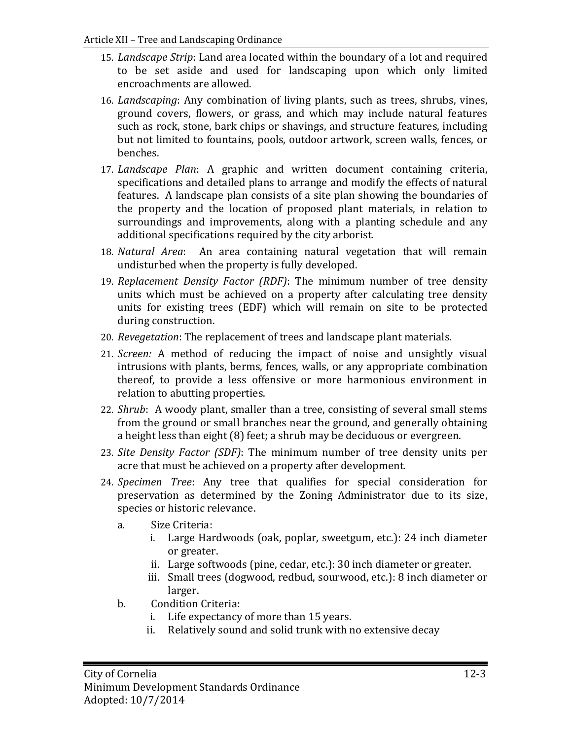- 15. *Landscape Strip*: Land area located within the boundary of a lot and required to be set aside and used for landscaping upon which only limited encroachments are allowed.
- 16. *Landscaping*: Any combination of living plants, such as trees, shrubs, vines, ground covers, flowers, or grass, and which may include natural features such as rock, stone, bark chips or shavings, and structure features, including but not limited to fountains, pools, outdoor artwork, screen walls, fences, or benches.
- 17. *Landscape Plan*: A graphic and written document containing criteria, specifications and detailed plans to arrange and modify the effects of natural features. A landscape plan consists of a site plan showing the boundaries of the property and the location of proposed plant materials, in relation to surroundings and improvements, along with a planting schedule and any additional specifications required by the city arborist.
- 18. *Natural Area*: An area containing natural vegetation that will remain undisturbed when the property is fully developed.
- 19. *Replacement Density Factor (RDF)*: The minimum number of tree density units which must be achieved on a property after calculating tree density units for existing trees (EDF) which will remain on site to be protected during construction.
- 20. *Revegetation*: The replacement of trees and landscape plant materials.
- 21. *Screen:* A method of reducing the impact of noise and unsightly visual intrusions with plants, berms, fences, walls, or any appropriate combination thereof, to provide a less offensive or more harmonious environment in relation to abutting properties.
- 22. *Shrub*: A woody plant, smaller than a tree, consisting of several small stems from the ground or small branches near the ground, and generally obtaining a height less than eight (8) feet; a shrub may be deciduous or evergreen.
- 23. *Site Density Factor (SDF)*: The minimum number of tree density units per acre that must be achieved on a property after development.
- 24. *Specimen Tree*: Any tree that qualifies for special consideration for preservation as determined by the Zoning Administrator due to its size, species or historic relevance.
	- a. Size Criteria:
		- i. Large Hardwoods (oak, poplar, sweetgum, etc.): 24 inch diameter or greater.
		- ii. Large softwoods (pine, cedar, etc.): 30 inch diameter or greater.
		- iii. Small trees (dogwood, redbud, sourwood, etc.): 8 inch diameter or larger.
	- b. Condition Criteria:
		- i. Life expectancy of more than 15 years.<br>ii. Relatively sound and solid trunk with n
		- Relatively sound and solid trunk with no extensive decay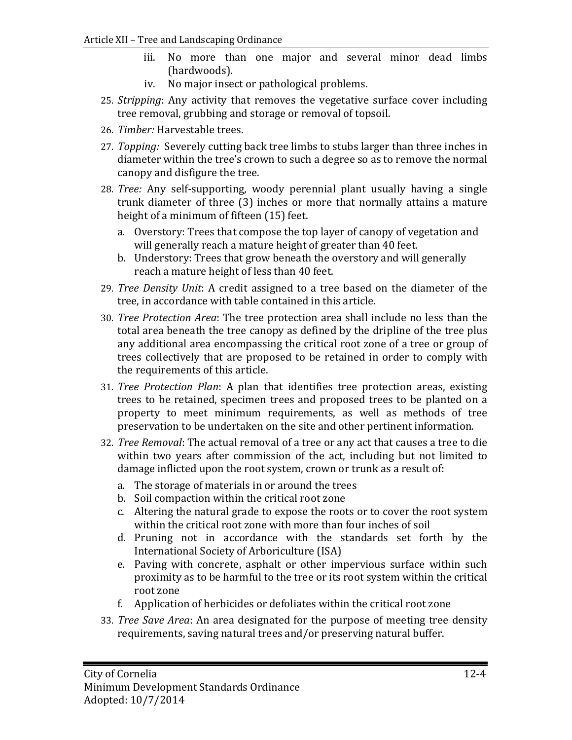- iii. No more than one major and several minor dead limbs (hardwoods).
- iv. No major insect or pathological problems.
- 25. *Stripping*: Any activity that removes the vegetative surface cover including tree removal, grubbing and storage or removal of topsoil.
- 26. *Timber:* Harvestable trees.
- 27. *Topping:* Severely cutting back tree limbs to stubs larger than three inches in diameter within the tree's crown to such a degree so as to remove the normal canopy and disfigure the tree.
- 28. *Tree:* Any self-supporting, woody perennial plant usually having a single trunk diameter of three (3) inches or more that normally attains a mature height of a minimum of fifteen (15) feet.
	- a. Overstory: Trees that compose the top layer of canopy of vegetation and will generally reach a mature height of greater than 40 feet.
	- b. Understory: Trees that grow beneath the overstory and will generally reach a mature height of less than 40 feet.
- 29. *Tree Density Unit*: A credit assigned to a tree based on the diameter of the tree, in accordance with table contained in this article.
- 30. *Tree Protection Area*: The tree protection area shall include no less than the total area beneath the tree canopy as defined by the dripline of the tree plus any additional area encompassing the critical root zone of a tree or group of trees collectively that are proposed to be retained in order to comply with the requirements of this article.
- 31. *Tree Protection Plan*: A plan that identifies tree protection areas, existing trees to be retained, specimen trees and proposed trees to be planted on a property to meet minimum requirements, as well as methods of tree preservation to be undertaken on the site and other pertinent information.
- 32. *Tree Removal*: The actual removal of a tree or any act that causes a tree to die within two years after commission of the act, including but not limited to damage inflicted upon the root system, crown or trunk as a result of:
	- a. The storage of materials in or around the trees
	- b. Soil compaction within the critical root zone
	- c. Altering the natural grade to expose the roots or to cover the root system within the critical root zone with more than four inches of soil
	- d. Pruning not in accordance with the standards set forth by the International Society of Arboriculture (ISA)
	- e. Paving with concrete, asphalt or other impervious surface within such proximity as to be harmful to the tree or its root system within the critical root zone
	- f. Application of herbicides or defoliates within the critical root zone
- 33. *Tree Save Area*: An area designated for the purpose of meeting tree density requirements, saving natural trees and/or preserving natural buffer.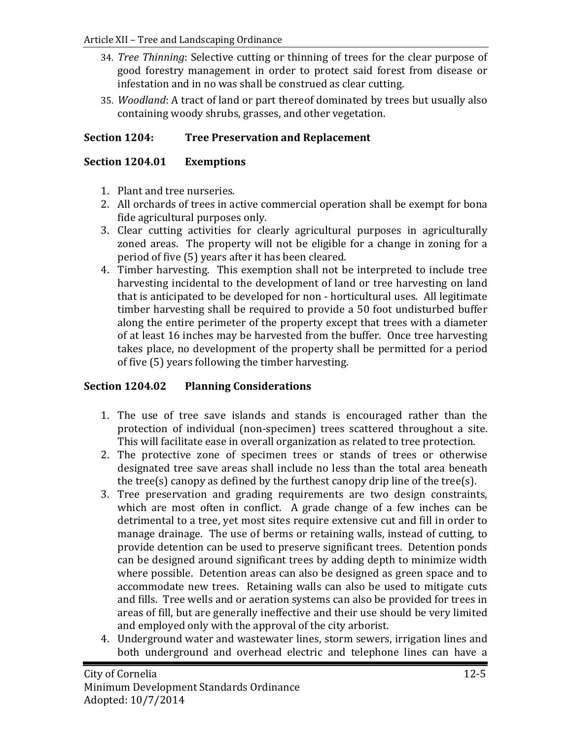- 34. *Tree Thinning*: Selective cutting or thinning of trees for the clear purpose of good forestry management in order to protect said forest from disease or infestation and in no was shall be construed as clear cutting.
- 35. *Woodland*: A tract of land or part thereof dominated by trees but usually also containing woody shrubs, grasses, and other vegetation.

## **Section 1204: Tree Preservation and Replacement**

#### **Section 1204.01 Exemptions**

- 1. Plant and tree nurseries.
- 2. All orchards of trees in active commercial operation shall be exempt for bona fide agricultural purposes only.
- 3. Clear cutting activities for clearly agricultural purposes in agriculturally zoned areas. The property will not be eligible for a change in zoning for a period of five (5) years after it has been cleared.
- 4. Timber harvesting. This exemption shall not be interpreted to include tree harvesting incidental to the development of land or tree harvesting on land that is anticipated to be developed for non - horticultural uses. All legitimate timber harvesting shall be required to provide a 50 foot undisturbed buffer along the entire perimeter of the property except that trees with a diameter of at least 16 inches may be harvested from the buffer. Once tree harvesting takes place, no development of the property shall be permitted for a period of five (5) years following the timber harvesting.

## **Section 1204.02 Planning Considerations**

- 1. The use of tree save islands and stands is encouraged rather than the protection of individual (non-specimen) trees scattered throughout a site. This will facilitate ease in overall organization as related to tree protection.
- 2. The protective zone of specimen trees or stands of trees or otherwise designated tree save areas shall include no less than the total area beneath the tree(s) canopy as defined by the furthest canopy drip line of the tree(s).
- 3. Tree preservation and grading requirements are two design constraints, which are most often in conflict. A grade change of a few inches can be detrimental to a tree, yet most sites require extensive cut and fill in order to manage drainage. The use of berms or retaining walls, instead of cutting, to provide detention can be used to preserve significant trees. Detention ponds can be designed around significant trees by adding depth to minimize width where possible. Detention areas can also be designed as green space and to accommodate new trees. Retaining walls can also be used to mitigate cuts and fills. Tree wells and or aeration systems can also be provided for trees in areas of fill, but are generally ineffective and their use should be very limited and employed only with the approval of the city arborist.
- 4. Underground water and wastewater lines, storm sewers, irrigation lines and both underground and overhead electric and telephone lines can have a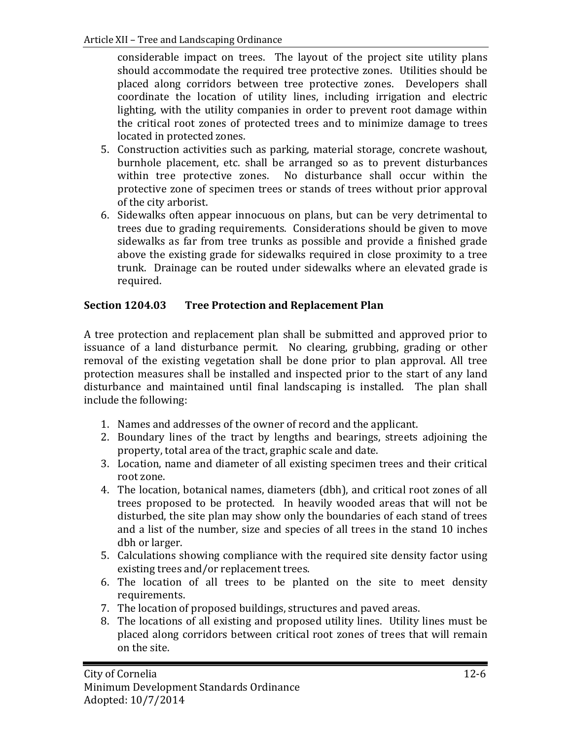considerable impact on trees. The layout of the project site utility plans should accommodate the required tree protective zones. Utilities should be placed along corridors between tree protective zones. Developers shall coordinate the location of utility lines, including irrigation and electric lighting, with the utility companies in order to prevent root damage within the critical root zones of protected trees and to minimize damage to trees located in protected zones.

- 5. Construction activities such as parking, material storage, concrete washout, burnhole placement, etc. shall be arranged so as to prevent disturbances within tree protective zones. No disturbance shall occur within the protective zone of specimen trees or stands of trees without prior approval of the city arborist.
- 6. Sidewalks often appear innocuous on plans, but can be very detrimental to trees due to grading requirements. Considerations should be given to move sidewalks as far from tree trunks as possible and provide a finished grade above the existing grade for sidewalks required in close proximity to a tree trunk. Drainage can be routed under sidewalks where an elevated grade is required.

## **Section 1204.03 Tree Protection and Replacement Plan**

A tree protection and replacement plan shall be submitted and approved prior to issuance of a land disturbance permit. No clearing, grubbing, grading or other removal of the existing vegetation shall be done prior to plan approval. All tree protection measures shall be installed and inspected prior to the start of any land disturbance and maintained until final landscaping is installed. The plan shall include the following:

- 1. Names and addresses of the owner of record and the applicant.
- 2. Boundary lines of the tract by lengths and bearings, streets adjoining the property, total area of the tract, graphic scale and date.
- 3. Location, name and diameter of all existing specimen trees and their critical root zone.
- 4. The location, botanical names, diameters (dbh), and critical root zones of all trees proposed to be protected. In heavily wooded areas that will not be disturbed, the site plan may show only the boundaries of each stand of trees and a list of the number, size and species of all trees in the stand 10 inches dbh or larger.
- 5. Calculations showing compliance with the required site density factor using existing trees and/or replacement trees.
- 6. The location of all trees to be planted on the site to meet density requirements.
- 7. The location of proposed buildings, structures and paved areas.
- 8. The locations of all existing and proposed utility lines. Utility lines must be placed along corridors between critical root zones of trees that will remain on the site.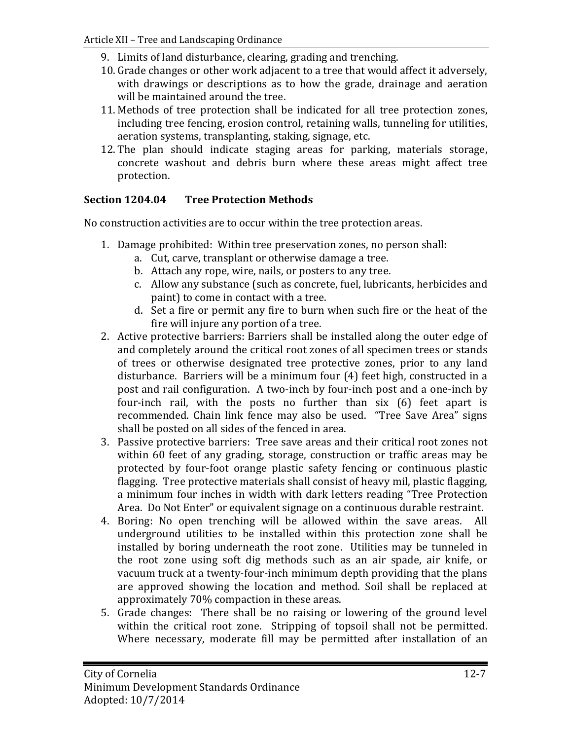- 9. Limits of land disturbance, clearing, grading and trenching.
- 10. Grade changes or other work adjacent to a tree that would affect it adversely, with drawings or descriptions as to how the grade, drainage and aeration will be maintained around the tree.
- 11. Methods of tree protection shall be indicated for all tree protection zones, including tree fencing, erosion control, retaining walls, tunneling for utilities, aeration systems, transplanting, staking, signage, etc.
- 12. The plan should indicate staging areas for parking, materials storage, concrete washout and debris burn where these areas might affect tree protection.

## **Section 1204.04 Tree Protection Methods**

No construction activities are to occur within the tree protection areas.

- 1. Damage prohibited: Within tree preservation zones, no person shall:
	- a. Cut, carve, transplant or otherwise damage a tree.
	- b. Attach any rope, wire, nails, or posters to any tree.
	- c. Allow any substance (such as concrete, fuel, lubricants, herbicides and paint) to come in contact with a tree.
	- d. Set a fire or permit any fire to burn when such fire or the heat of the fire will injure any portion of a tree.
- 2. Active protective barriers: Barriers shall be installed along the outer edge of and completely around the critical root zones of all specimen trees or stands of trees or otherwise designated tree protective zones, prior to any land disturbance. Barriers will be a minimum four (4) feet high, constructed in a post and rail configuration. A two-inch by four-inch post and a one-inch by four-inch rail, with the posts no further than six (6) feet apart is recommended. Chain link fence may also be used. "Tree Save Area" signs shall be posted on all sides of the fenced in area.
- 3. Passive protective barriers: Tree save areas and their critical root zones not within 60 feet of any grading, storage, construction or traffic areas may be protected by four-foot orange plastic safety fencing or continuous plastic flagging. Tree protective materials shall consist of heavy mil, plastic flagging, a minimum four inches in width with dark letters reading "Tree Protection Area. Do Not Enter" or equivalent signage on a continuous durable restraint.
- 4. Boring: No open trenching will be allowed within the save areas. All underground utilities to be installed within this protection zone shall be installed by boring underneath the root zone. Utilities may be tunneled in the root zone using soft dig methods such as an air spade, air knife, or vacuum truck at a twenty-four-inch minimum depth providing that the plans are approved showing the location and method. Soil shall be replaced at approximately 70% compaction in these areas.
- 5. Grade changes: There shall be no raising or lowering of the ground level within the critical root zone. Stripping of topsoil shall not be permitted. Where necessary, moderate fill may be permitted after installation of an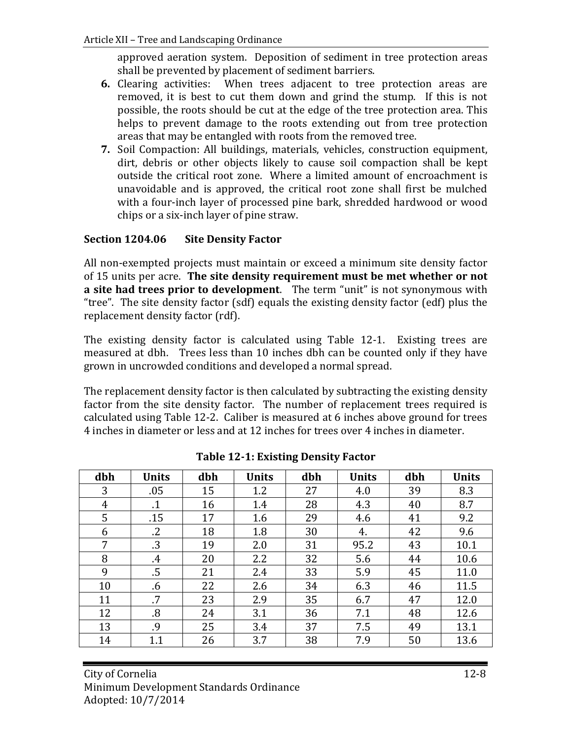approved aeration system. Deposition of sediment in tree protection areas shall be prevented by placement of sediment barriers.

- **6.** Clearing activities:When trees adjacent to tree protection areas are removed, it is best to cut them down and grind the stump. If this is not possible, the roots should be cut at the edge of the tree protection area. This helps to prevent damage to the roots extending out from tree protection areas that may be entangled with roots from the removed tree.
- **7.** Soil Compaction: All buildings, materials, vehicles, construction equipment, dirt, debris or other objects likely to cause soil compaction shall be kept outside the critical root zone. Where a limited amount of encroachment is unavoidable and is approved, the critical root zone shall first be mulched with a four-inch layer of processed pine bark, shredded hardwood or wood chips or a six-inch layer of pine straw.

## **Section 1204.06 Site Density Factor**

All non-exempted projects must maintain or exceed a minimum site density factor of 15 units per acre. **The site density requirement must be met whether or not a site had trees prior to development**. The term "unit" is not synonymous with "tree". The site density factor (sdf) equals the existing density factor (edf) plus the replacement density factor (rdf).

The existing density factor is calculated using Table 12-1. Existing trees are measured at dbh. Trees less than 10 inches dbh can be counted only if they have grown in uncrowded conditions and developed a normal spread.

The replacement density factor is then calculated by subtracting the existing density factor from the site density factor. The number of replacement trees required is calculated using Table 12-2. Caliber is measured at 6 inches above ground for trees 4 inches in diameter or less and at 12 inches for trees over 4 inches in diameter.

| dbh | <b>Units</b> | dbh | <b>Units</b> | dbh | <b>Units</b> | dbh | <b>Units</b> |
|-----|--------------|-----|--------------|-----|--------------|-----|--------------|
| 3   | .05          | 15  | 1.2          | 27  | 4.0          | 39  | 8.3          |
| 4   | $\cdot$ 1    | 16  | 1.4          | 28  | 4.3          | 40  | 8.7          |
| 5   | .15          | 17  | 1.6          | 29  | 4.6          | 41  | 9.2          |
| 6   | $\cdot$      | 18  | 1.8          | 30  | 4.           | 42  | 9.6          |
| 7   | .3           | 19  | 2.0          | 31  | 95.2         | 43  | 10.1         |
| 8   | $\cdot$      | 20  | 2.2          | 32  | 5.6          | 44  | 10.6         |
| 9   | .5           | 21  | 2.4          | 33  | 5.9          | 45  | 11.0         |
| 10  | .6           | 22  | 2.6          | 34  | 6.3          | 46  | 11.5         |
| 11  | .7           | 23  | 2.9          | 35  | 6.7          | 47  | 12.0         |
| 12  | .8           | 24  | 3.1          | 36  | 7.1          | 48  | 12.6         |
| 13  | .9           | 25  | 3.4          | 37  | 7.5          | 49  | 13.1         |
| 14  | 1.1          | 26  | 3.7          | 38  | 7.9          | 50  | 13.6         |

**Table 12-1: Existing Density Factor**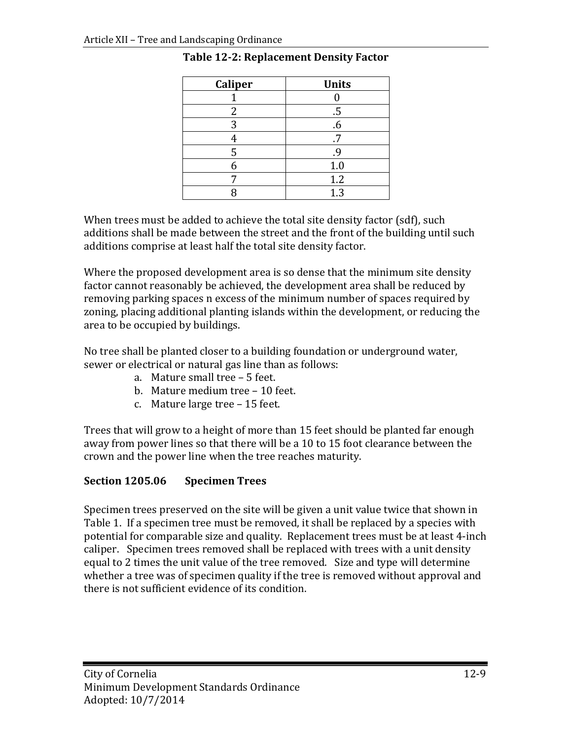| <b>Caliper</b> | <b>Units</b> |
|----------------|--------------|
|                |              |
| 2              | .5           |
| 3              | .6           |
| 4              |              |
| 5              | .9           |
|                | 1.0          |
|                | 1.2          |
|                | 1.3          |

## **Table 12-2: Replacement Density Factor**

When trees must be added to achieve the total site density factor (sdf), such additions shall be made between the street and the front of the building until such additions comprise at least half the total site density factor.

Where the proposed development area is so dense that the minimum site density factor cannot reasonably be achieved, the development area shall be reduced by removing parking spaces n excess of the minimum number of spaces required by zoning, placing additional planting islands within the development, or reducing the area to be occupied by buildings.

No tree shall be planted closer to a building foundation or underground water, sewer or electrical or natural gas line than as follows:

- a. Mature small tree 5 feet.
- b. Mature medium tree 10 feet.
- c. Mature large tree 15 feet.

Trees that will grow to a height of more than 15 feet should be planted far enough away from power lines so that there will be a 10 to 15 foot clearance between the crown and the power line when the tree reaches maturity.

## **Section 1205.06 Specimen Trees**

Specimen trees preserved on the site will be given a unit value twice that shown in Table 1. If a specimen tree must be removed, it shall be replaced by a species with potential for comparable size and quality. Replacement trees must be at least 4-inch caliper. Specimen trees removed shall be replaced with trees with a unit density equal to 2 times the unit value of the tree removed. Size and type will determine whether a tree was of specimen quality if the tree is removed without approval and there is not sufficient evidence of its condition.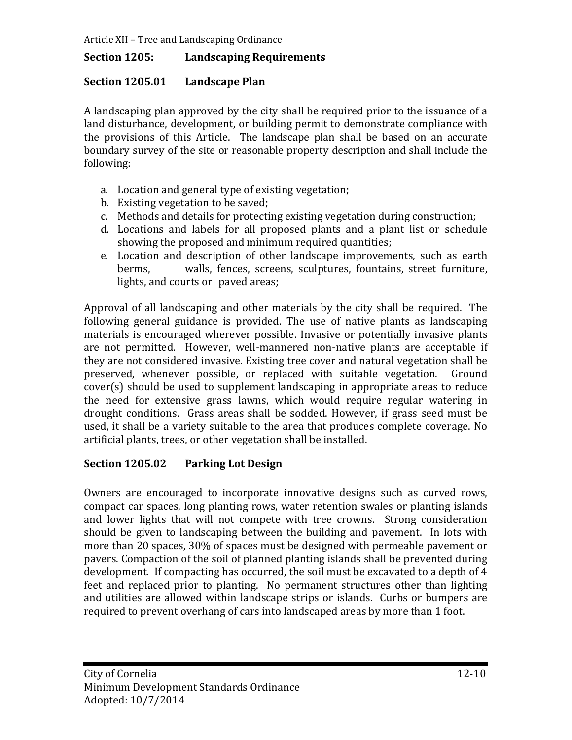#### **Section 1205: Landscaping Requirements**

#### **Section 1205.01 Landscape Plan**

A landscaping plan approved by the city shall be required prior to the issuance of a land disturbance, development, or building permit to demonstrate compliance with the provisions of this Article. The landscape plan shall be based on an accurate boundary survey of the site or reasonable property description and shall include the following:

- a. Location and general type of existing vegetation;
- b. Existing vegetation to be saved;
- c. Methods and details for protecting existing vegetation during construction;
- d. Locations and labels for all proposed plants and a plant list or schedule showing the proposed and minimum required quantities;
- e. Location and description of other landscape improvements, such as earth berms. walls. fences. screens. sculptures. fountains. street furniture. walls, fences, screens, sculptures, fountains, street furniture, lights, and courts or paved areas;

Approval of all landscaping and other materials by the city shall be required. The following general guidance is provided. The use of native plants as landscaping materials is encouraged wherever possible. Invasive or potentially invasive plants are not permitted. However, well-mannered non-native plants are acceptable if they are not considered invasive. Existing tree cover and natural vegetation shall be preserved, whenever possible, or replaced with suitable vegetation. Ground preserved, whenever possible, or replaced with suitable vegetation. cover(s) should be used to supplement landscaping in appropriate areas to reduce the need for extensive grass lawns, which would require regular watering in drought conditions. Grass areas shall be sodded. However, if grass seed must be used, it shall be a variety suitable to the area that produces complete coverage. No artificial plants, trees, or other vegetation shall be installed.

#### **Section 1205.02 Parking Lot Design**

Owners are encouraged to incorporate innovative designs such as curved rows, compact car spaces, long planting rows, water retention swales or planting islands and lower lights that will not compete with tree crowns. Strong consideration should be given to landscaping between the building and pavement. In lots with more than 20 spaces, 30% of spaces must be designed with permeable pavement or pavers. Compaction of the soil of planned planting islands shall be prevented during development. If compacting has occurred, the soil must be excavated to a depth of 4 feet and replaced prior to planting. No permanent structures other than lighting and utilities are allowed within landscape strips or islands. Curbs or bumpers are required to prevent overhang of cars into landscaped areas by more than 1 foot.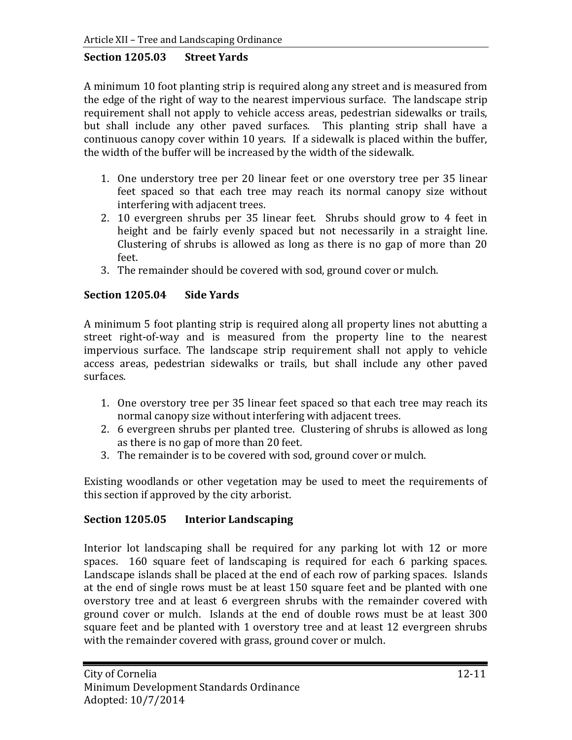#### **Section 1205.03 Street Yards**

A minimum 10 foot planting strip is required along any street and is measured from the edge of the right of way to the nearest impervious surface. The landscape strip requirement shall not apply to vehicle access areas, pedestrian sidewalks or trails, but shall include any other paved surfaces. This planting strip shall have a continuous canopy cover within 10 years. If a sidewalk is placed within the buffer, the width of the buffer will be increased by the width of the sidewalk.

- 1. One understory tree per 20 linear feet or one overstory tree per 35 linear feet spaced so that each tree may reach its normal canopy size without interfering with adjacent trees.
- 2. 10 evergreen shrubs per 35 linear feet. Shrubs should grow to 4 feet in height and be fairly evenly spaced but not necessarily in a straight line. Clustering of shrubs is allowed as long as there is no gap of more than 20 feet.
- 3. The remainder should be covered with sod, ground cover or mulch.

## **Section 1205.04 Side Yards**

A minimum 5 foot planting strip is required along all property lines not abutting a street right-of-way and is measured from the property line to the nearest impervious surface. The landscape strip requirement shall not apply to vehicle access areas, pedestrian sidewalks or trails, but shall include any other paved surfaces.

- 1. One overstory tree per 35 linear feet spaced so that each tree may reach its normal canopy size without interfering with adjacent trees.
- 2. 6 evergreen shrubs per planted tree. Clustering of shrubs is allowed as long as there is no gap of more than 20 feet.
- 3. The remainder is to be covered with sod, ground cover or mulch.

Existing woodlands or other vegetation may be used to meet the requirements of this section if approved by the city arborist.

## **Section 1205.05 Interior Landscaping**

Interior lot landscaping shall be required for any parking lot with 12 or more spaces. 160 square feet of landscaping is required for each 6 parking spaces. Landscape islands shall be placed at the end of each row of parking spaces. Islands at the end of single rows must be at least 150 square feet and be planted with one overstory tree and at least 6 evergreen shrubs with the remainder covered with ground cover or mulch. Islands at the end of double rows must be at least 300 square feet and be planted with 1 overstory tree and at least 12 evergreen shrubs with the remainder covered with grass, ground cover or mulch.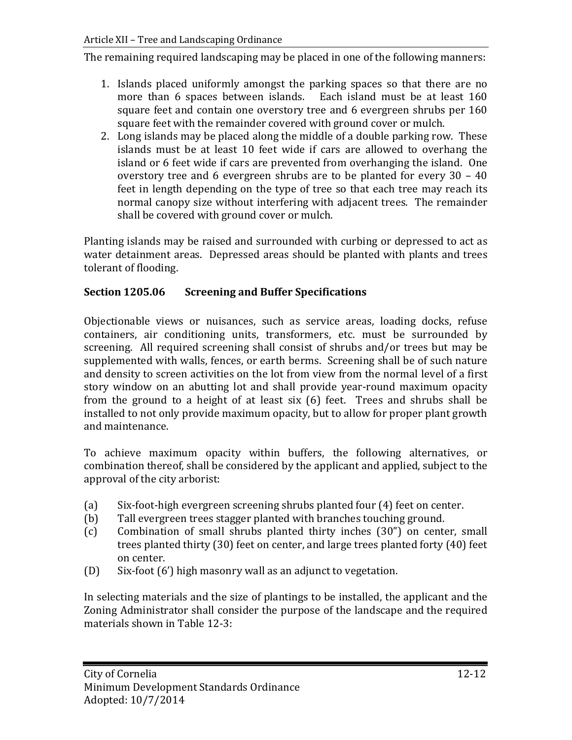The remaining required landscaping may be placed in one of the following manners:

- 1. Islands placed uniformly amongst the parking spaces so that there are no more than 6 spaces between islands. Each island must be at least 160 square feet and contain one overstory tree and 6 evergreen shrubs per 160 square feet with the remainder covered with ground cover or mulch.
- 2. Long islands may be placed along the middle of a double parking row. These islands must be at least 10 feet wide if cars are allowed to overhang the island or 6 feet wide if cars are prevented from overhanging the island. One overstory tree and 6 evergreen shrubs are to be planted for every 30 – 40 feet in length depending on the type of tree so that each tree may reach its normal canopy size without interfering with adjacent trees. The remainder shall be covered with ground cover or mulch.

Planting islands may be raised and surrounded with curbing or depressed to act as water detainment areas. Depressed areas should be planted with plants and trees tolerant of flooding.

## **Section 1205.06 Screening and Buffer Specifications**

Objectionable views or nuisances, such as service areas, loading docks, refuse containers, air conditioning units, transformers, etc. must be surrounded by screening. All required screening shall consist of shrubs and/or trees but may be supplemented with walls, fences, or earth berms. Screening shall be of such nature and density to screen activities on the lot from view from the normal level of a first story window on an abutting lot and shall provide year-round maximum opacity from the ground to a height of at least six (6) feet. Trees and shrubs shall be installed to not only provide maximum opacity, but to allow for proper plant growth and maintenance.

To achieve maximum opacity within buffers, the following alternatives, or combination thereof, shall be considered by the applicant and applied, subject to the approval of the city arborist:

- (a) Six-foot-high evergreen screening shrubs planted four (4) feet on center.<br>(b) Tall evergreen trees stagger planted with branches touching ground.
- (b) Tall evergreen trees stagger planted with branches touching ground.<br>(c) Combination of small shrubs planted thirty inches (30") on center
- Combination of small shrubs planted thirty inches (30") on center, small trees planted thirty (30) feet on center, and large trees planted forty (40) feet on center.
- (D) Six-foot (6') high masonry wall as an adjunct to vegetation.

In selecting materials and the size of plantings to be installed, the applicant and the Zoning Administrator shall consider the purpose of the landscape and the required materials shown in Table 12-3: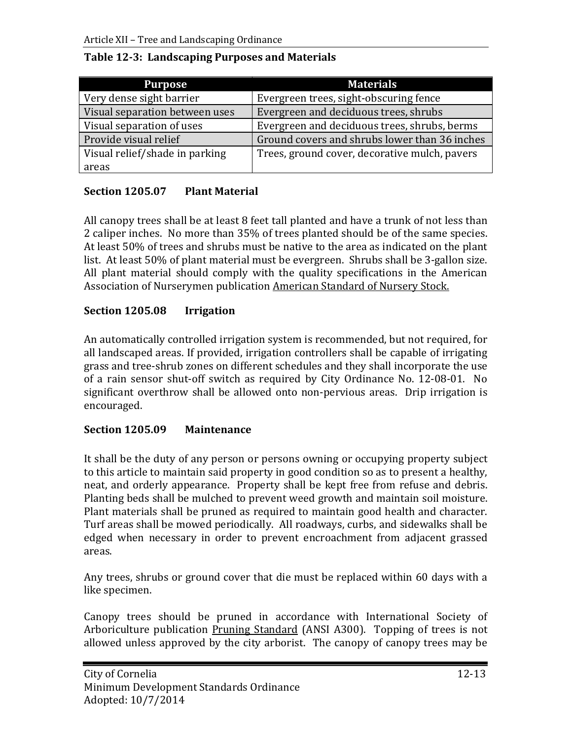| <b>Purpose</b>                 | <b>Materials</b>                              |  |  |
|--------------------------------|-----------------------------------------------|--|--|
| Very dense sight barrier       | Evergreen trees, sight-obscuring fence        |  |  |
| Visual separation between uses | Evergreen and deciduous trees, shrubs         |  |  |
| Visual separation of uses      | Evergreen and deciduous trees, shrubs, berms  |  |  |
| Provide visual relief          | Ground covers and shrubs lower than 36 inches |  |  |
| Visual relief/shade in parking | Trees, ground cover, decorative mulch, pavers |  |  |
| areas                          |                                               |  |  |

## **Table 12-3: Landscaping Purposes and Materials**

## **Section 1205.07 Plant Material**

All canopy trees shall be at least 8 feet tall planted and have a trunk of not less than 2 caliper inches. No more than 35% of trees planted should be of the same species. At least 50% of trees and shrubs must be native to the area as indicated on the plant list. At least 50% of plant material must be evergreen. Shrubs shall be 3-gallon size. All plant material should comply with the quality specifications in the American Association of Nurserymen publication American Standard of Nursery Stock.

## **Section 1205.08 Irrigation**

An automatically controlled irrigation system is recommended, but not required, for all landscaped areas. If provided, irrigation controllers shall be capable of irrigating grass and tree-shrub zones on different schedules and they shall incorporate the use of a rain sensor shut-off switch as required by City Ordinance No. 12-08-01. No significant overthrow shall be allowed onto non-pervious areas. Drip irrigation is encouraged.

## **Section 1205.09 Maintenance**

It shall be the duty of any person or persons owning or occupying property subject to this article to maintain said property in good condition so as to present a healthy, neat, and orderly appearance. Property shall be kept free from refuse and debris. Planting beds shall be mulched to prevent weed growth and maintain soil moisture. Plant materials shall be pruned as required to maintain good health and character. Turf areas shall be mowed periodically. All roadways, curbs, and sidewalks shall be edged when necessary in order to prevent encroachment from adjacent grassed areas.

Any trees, shrubs or ground cover that die must be replaced within 60 days with a like specimen.

Canopy trees should be pruned in accordance with International Society of Arboriculture publication Pruning Standard (ANSI A300). Topping of trees is not allowed unless approved by the city arborist. The canopy of canopy trees may be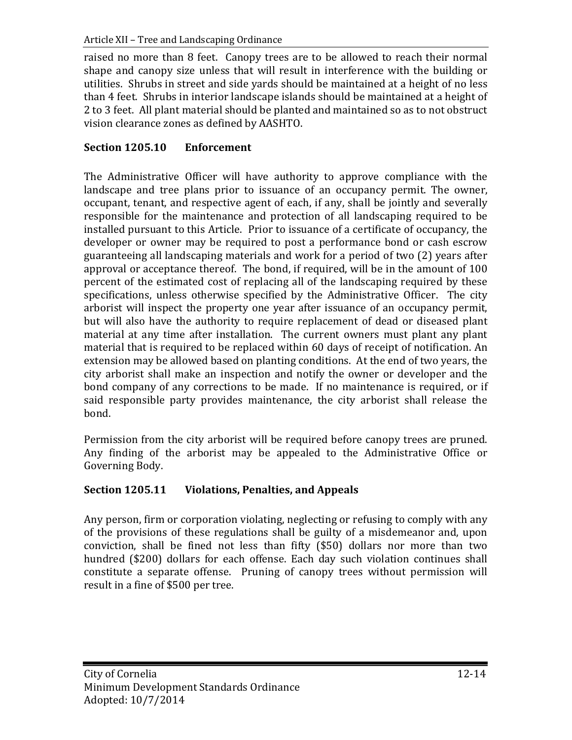raised no more than 8 feet. Canopy trees are to be allowed to reach their normal shape and canopy size unless that will result in interference with the building or utilities. Shrubs in street and side yards should be maintained at a height of no less than 4 feet. Shrubs in interior landscape islands should be maintained at a height of 2 to 3 feet. All plant material should be planted and maintained so as to not obstruct vision clearance zones as defined by AASHTO.

## **Section 1205.10 Enforcement**

The Administrative Officer will have authority to approve compliance with the landscape and tree plans prior to issuance of an occupancy permit. The owner, occupant, tenant, and respective agent of each, if any, shall be jointly and severally responsible for the maintenance and protection of all landscaping required to be installed pursuant to this Article. Prior to issuance of a certificate of occupancy, the developer or owner may be required to post a performance bond or cash escrow guaranteeing all landscaping materials and work for a period of two (2) years after approval or acceptance thereof. The bond, if required, will be in the amount of 100 percent of the estimated cost of replacing all of the landscaping required by these specifications, unless otherwise specified by the Administrative Officer. The city arborist will inspect the property one year after issuance of an occupancy permit, but will also have the authority to require replacement of dead or diseased plant material at any time after installation. The current owners must plant any plant material that is required to be replaced within 60 days of receipt of notification. An extension may be allowed based on planting conditions. At the end of two years, the city arborist shall make an inspection and notify the owner or developer and the bond company of any corrections to be made. If no maintenance is required, or if said responsible party provides maintenance, the city arborist shall release the bond.

Permission from the city arborist will be required before canopy trees are pruned. Any finding of the arborist may be appealed to the Administrative Office or Governing Body.

## **Section 1205.11 Violations, Penalties, and Appeals**

Any person, firm or corporation violating, neglecting or refusing to comply with any of the provisions of these regulations shall be guilty of a misdemeanor and, upon conviction, shall be fined not less than fifty (\$50) dollars nor more than two hundred (\$200) dollars for each offense. Each day such violation continues shall constitute a separate offense. Pruning of canopy trees without permission will result in a fine of \$500 per tree.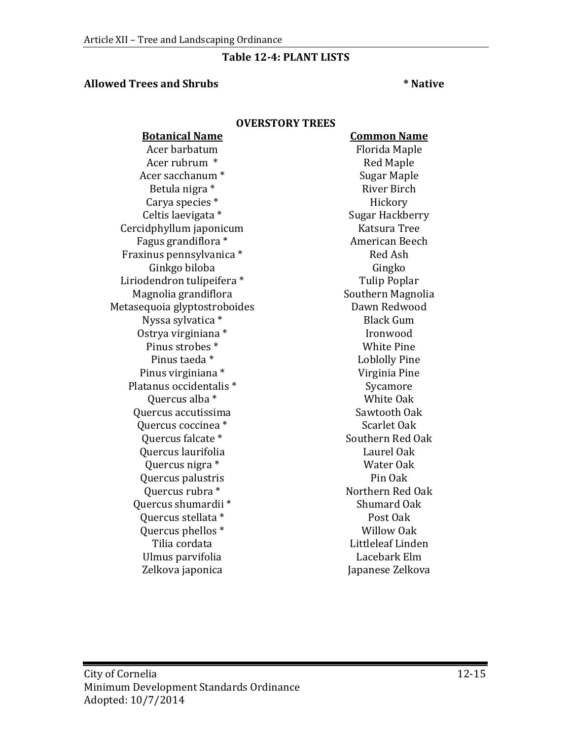## **Table 12-4: PLANT LISTS**

#### **Allowed Trees and Shrubs \* Native**

#### **OVERSTORY TREES**

**Botanical Name Common Name** Acer barbatum Florida Maple Acer rubrum \* Red Maple Acer sacchanum \* Sugar Maple Betula nigra \* River Birch Carya species \*<br>Celtis laevigata \* Cercidphyllum japonicum Katsura Tree Fagus grandiflora \* American Beech Fraxinus pennsylvanica \* Red Ash Ginkgo biloba Gingko Liriodendron tulipeifera \* Tulip Poplar Magnolia grandiflora Southern Magnolia Metasequoia glyptostroboides Dawn Redwood Nyssa sylvatica \* Black Gum Ostrya virginiana \* The Real of the Second Vietnam School and The Pine in the Pine Second Vietnam School and W<br>Pinus strobes \* The White Pine School and White Pine School and White Pine School and School and School and Sc Pinus strobes \*<br>Pinus taeda \* Pinus virginiana \* Virginia Pine Platanus occidentalis \* Sycamore Quercus alba \* White Oak Quercus accutissima Sawtooth Oak Quercus coccinea \*  $\begin{array}{ccc} \text{Quercus falcate} & \text{Scarlet Oak} \\ \text{Quercus falcate} & \text{Southern Red Oak} \end{array}$ Quercus falcate \* The Southern Red C<br>Quercus laurifolia The Southern Red C Quercus laurifolia Laurel Oak Quercus nigra \* Water Oak Quercus palustris Pin Oak Quercus rubra \* Northern Red Oak Quercus shumardii \* Shumard Oak Quercus stellata \* The Post Oak Post Oak Post Oak Post Oak Post Oak Post Oak Post Oak Post Oak Post Oak Post O Quercus phellos \*<br>Tilia cordata Ulmus parvifolia<br>Zelkova japonica

Sugar Hackberry<br>Katsura Tree Loblolly Pine<br>Virginia Pine Littleleaf Linden<br>Lacebark Elm Japanese Zelkova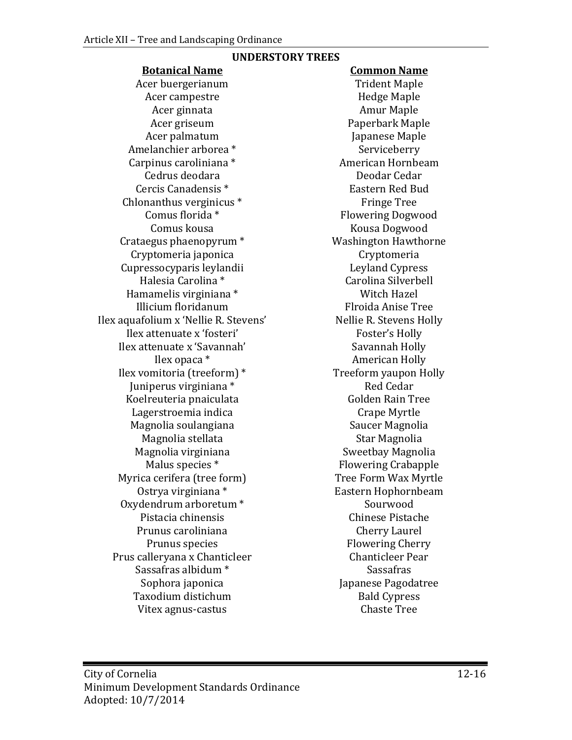# Acer buergerianum Trident Maple<br>Acer campestre Fedge Maple Acer campestre Hedge Maple Acer ginnata<br>Acer griseum Acer griseum Paperbark Maple<br>Acer palmatum Maple Japanese Maple Amelanchier arborea \* Serviceberry Carpinus caroliniana \* and a American Hornbe<br>Cedrus deodara bendar Cedar Cedrus deodara Deodar Cedar Cercis Canadensis \* The Eastern Red Buddensis \* The Eastern Red Buddensis & Eastern Red Buddensition and Eastern Red Buddensition and E Chlonanthus verginicus  $*$ <br>Comus florida  $*$ Comus florida \* Flowering Dogwood Crataegus phaenopyrum \* Washington Hawthorne Cryptomeria japonica<br>
1988 - Cryptomeria Internativa Cryptomeria<br>
Cryptomeria internativa Cryptomeria Cryptomeria Cupressocyparis leylandii<br>
Halesia Carolina \* Hamamelis virginiana \* Witch Hazel Illicium floridanum Flroida Anise Tree Ilex aquafolium x 'Nellie R. Stevens' Nellie R. Stevens H<br>Ilex attenuate x 'fosteri' Foster's Holly Ilex attenuate x 'fosteri' Foster's Holly<br>
ex attenuate x 'Savannah' Savannah Holly Ilex attenuate x 'Savannah' Ilex opaca \* Ilex vomitoria (treeform) \* Treeform yaupon <br/> Treeform yaupon Huniperus virginiana \* Red Cedar Juniperus virginiana \* Red Cedar Koelreuteria pnaiculata Golden Rain Tree Lagerstroemia indica<br>Magnolia soulangiana dialekun menumpuk Saucer Magnolia Magnolia soulangiana Saucer Magnoli<br>Magnolia stellata Saucer Magnolia Magnolia stellata Star Magnolia Magnolia virginiana<br>Malus species \* Myrica cerifera (tree form)<br>0strya virginiana \* Oxydendrum arboretum \* Sourwood Pistacia chinensis Chinese Pistache Prunus caroliniana<br>Prunus species Prus calleryana x Chanticleer Fearth Chanticleer Pears (Sassafras called a Sassafras Chanticleer Pears of Sassafras Sassafras Sassafras Sassafras Sassafras Sassafras Sassafras Sassafras Sassafras Sassafras Sassafras Sassaf Sassafras albidum \*<br>Sophora japonica Taxodium distichum Bald Cypress Vitex agnus-castus

#### **UNDERSTORY TREES**

**Botanical Name Common Name** Japanese Maple<br>Serviceberry Kousa Dogwood<br>Washington Hawthorne Carolina Silverbell<br>Witch Hazel American Holly<br>Treeform yaupon Holly Flowering Crabapple<br>Tree Form Wax Myrtle Eastern Hophornbeam<br>Sourwood Flowering Cherry<br>Chanticleer Pear Japanese Pagodatree<br>Bald Cypress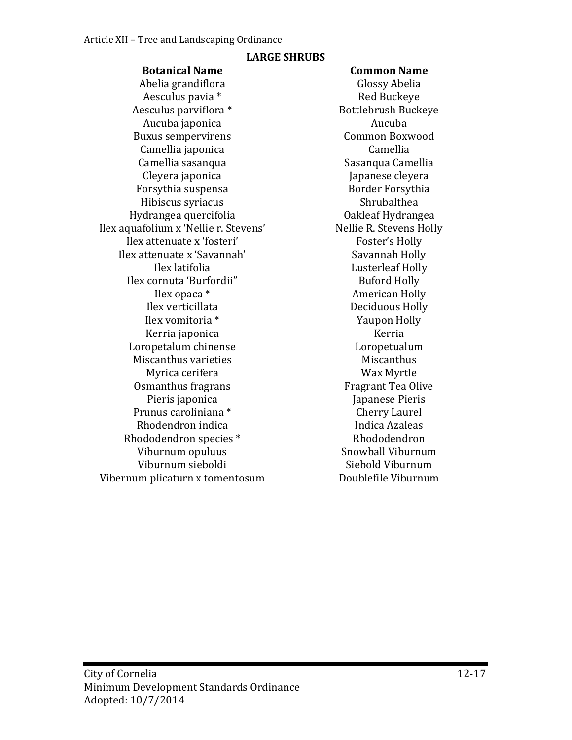## **LARGE SHRUBS**

## **Botanical Name Common Name**

Abelia grandiflora Glossy Abelia Aesculus pavia \* Red Buckeye Aesculus parviflora \* Bottlebrush Buckeye Aucuba japonica Aucuba Buxus sempervirens Common Boxwood Camellia japonica Camellia Camellia sasanqua<br>Cleyera japonica Forsythia suspensa Border Forsythia Hibiscus syriacus Shrubalthea Hydrangea quercifolia Oakleaf Hydrangea Ilex aquafolium x 'Nellie r. Stevens' Nellie R. Stevens H<br>Ilex attenuate x 'fosteri' Roster' Foster's Holly Ilex attenuate x 'fosteri' Foster's Holly<br>
ex attenuate x 'Savannah' Savannah Holly Ilex attenuate x 'Savannah'<br>Ilex latifolia Ilex cornuta 'Burfordii"<br>Ilex opaca \* Ilex opaca \* American Holly Ilex vomitoria \* The Yaupon Holly Nerria \* Yaupon Holly Nerria \* Yaupon Holly Nerria \* Yaupon Holly Nerria \* Yaupon Ho Kerria japonica Kerria Loropetalum chinense Loropetualum Miscanthus varieties<br>Myrica cerifera Myrica Cerifera Myrica cerifera Wax Myrtle Osmanthus fragrans<br>Pieris japonica Prunus caroliniana \* Cherry Laurel Rhodendron indica<br>
indica Azaleas<br>
Indica Azaleas<br>
Rhododendron species \* 8hododendron Rhododendron species \* The Rhododendron Rhododendron<br>
Viburnum opuluus \* The Snowball Viburnum Viburnum opuluus Snowball Viburnum Viburnum sieboldi<br>
um plicaturn x tomentosum<br>
Ooublefile Viburnum Vibernum plicaturn x tomentosum

Japanese cleyera<br>Border Forsythia Lusterleaf Holly<br>Buford Holly Deciduous Holly<br>Yaupon Holly Japanese Pieris<br>Cherry Laurel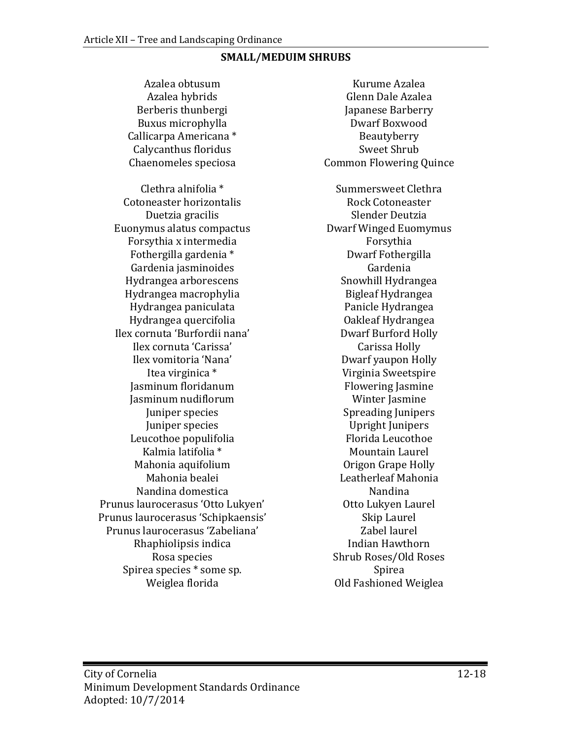#### **SMALL/MEDUIM SHRUBS**

Berberis thunbergi Japanese Barberry Buxus microphylla Dwarf Boxwood Callicarpa Americana \* Beautyberry Calycanthus floridus<br>Chaenomeles speciosa Clethra alnifolia \* Summersweet Clethra Cotoneaster horizontalis Rock Cotoneaster<br>Duetzia gracilis Rock Cotoneaster<br>Slender Deutzia Euonymus alatus compactus Dwarf Winged Euomymus Forsythia x intermedia Forsythia Fothergilla gardenia \* Dwarf Fothergilla Gardenia jasminoides<br>
Hydrangea arborescens
(Equator Snowhill Hydrangea Hydrangea arborescens Snowhill Hydrangea Hydrangea macrophylia Bigleaf Hydrangea Hydrangea paniculata Panicle Hydrangea Hydrangea quercifolia Oakleaf Hydrangea Ilex cornuta 'Burfordii nana' Dwarf Burford Holly Ilex cornuta 'Carissa'<br>Ilex vomitoria 'Nana' Ilex vomitoria 'Nana' Dwarf yaupon Holly Jasminum floridanum **Flowering Jasmin**<br>Iasminum nudiflorum **Flowering Winter Iasmine** Jasminum nudiflorum<br>Juniper species Juniper species<br>
1991 - Leopold Vergins Vietnamers<br>
Upright Junipers<br>
Florida Leucothoe Leucothoe populifolia<br>Kalmia latifolia \* Mahonia aquifolium<br>Mahonia bealei Nandina domestica Nandina Prunus laurocerasus 'Otto Lukyen' Otto Lukyen Laurel Prunus laurocerasus 'Schipkaensis' Skip Laurel Prunus laurocerasus 'Zabeliana' Zabel laurel Rhaphiolipsis indica<br>Rosa species Spirea species \* some sp.<br>Weiglea florida

Azalea obtusum Kurume Azalea Glenn Dale Azalea<br>Japanese Barberry Common Flowering Quince Duetzia gracilis Slender Deutzia Virginia Sweetspire<br>Flowering Jasmine Spreading Junipers<br>Upright Junipers Mountain Laurel<br>Origon Grape Holly Leatherleaf Mahonia<br>Nandina Shrub Roses/Old Roses<br>Spirea Old Fashioned Weiglea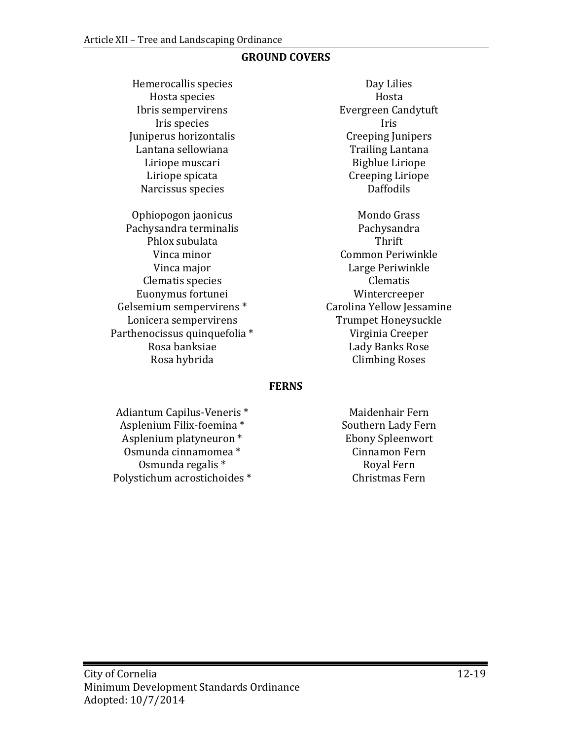#### **GROUND COVERS**

Hemerocallis species Day Lilies<br>Hosta species Hosta Hosta species<br>Ibris sempervirens Juniperus horizontalis Creeping Junipers Lantana sellowiana<br>Liriope muscari Liriope muscari Bigblue Liriope Narcissus species

Ophiopogon jaonicus Mondo Grass Pachysandra terminalis Pachysandra terminalis Pachysandra Pachysandra Pachysandra Pachysandra Pachysandra Pach<br>Thrift Phlox subulata<br>Vinca minor Clematis species and clematis convenues for tune in the convenuence of the convenuence convenues convenues control of the convenuence of the convenuence convenues convenues convenues and convenues  $\alpha$  convenues convenues Gelsemium sempervirens \* Carolina Yellow Jessamine Lonicera sempervirens Trumpet Honeysuckle<br>
thenocissus quinquefolia \* Trumpet Trumpet Honeysuck Parthenocissus quinquefolia \*<br>Rosa banksiae Rosa banksiae Lady Banks Rose

Evergreen Candytuft<br>Iris Iris species<br>
erus horizontalis<br>
erus horizontalis<br>
Creeping Junipers Creeping Liriope<br>Daffodils

Vinca minor Common Periwinkle Large Periwinkle<br>Clematis Euonymus fortunei Wintercreeper **Climbing Roses** 

#### **FERNS**

Adiantum Capilus-Veneris \* Maidenhair Fern Asplenium Filix-foemina \* Southern Lady Fern Asplenium platyneuron \* Ebony Spleenwort Osmunda cinnamomea \* Cinnamon Fern Osmunda regalis \* Royal Fern Polystichum acrostichoides \*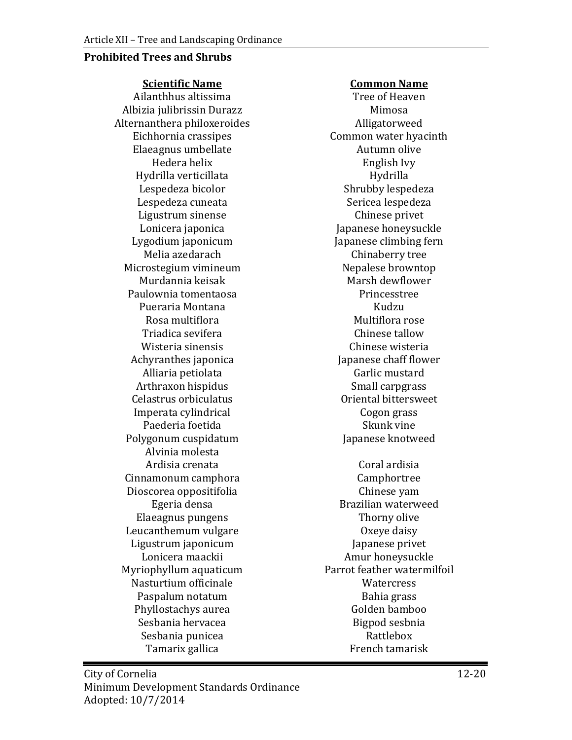#### **Prohibited Trees and Shrubs**

**Scientific Name Common Name**

Ailanthhus altissima Tree of Heaven Albizia julibrissin Durazz<br>1988 - Iternanthera philoxeroides<br>2014 - Alligatorweed Alternanthera philoxeroides<br>Eichhornia crassipes Elaeagnus umbellate<br>Hedera helix Hydrilla verticillata<br>Lespedeza bicolor Lespedeza cuneata Sericea lespedeza Ligustrum sinense<br>Lonicera japonica Lygodium japonicum<br>Melia azedarach Microstegium vimineum Nepalese browntop Murdannia keisak Marsh dewflow<br>ulownia tomentaosa Marsh dewflower Paulownia tomentaosa Princesstree Pueraria Montana Kudzu Rosa multiflora de contra comunitativa de mais de Multiflora rose<br>Chinese tallow Triadica sevifera Chinese tallow Wisteria sinensis<br>
Chinese wisteria<br>
Iapanese chaff flower Achyranthes japonica Japanese chaff flow<br>Alliaria petiolata (arlic mustard Alliaria petiolata<br>
Arthraxon hispidus<br>
Garlic mustard<br>
Small carpgrass Arthraxon hispidus<br>Celastrus orbiculatus de anno 1999 - Small carpgrass<br>Oriental bittersweet Celastrus orbiculatus Oriental bittersweet Imperata cylindrical and the Cogon grass Cogon grass controller and the Cogon grass controller and the Cogon grass controller and the Cogon grass controller and the Cogon grass controller and the Cogon grass controller and Paederia foetida<br>
vgonum cuspidatum<br>
Vgonum cuspidatum<br>
Skunk vine Skunk vine seknotweed Polygonum cuspidatum Alvinia molesta Ardisia crenata Coral ardisia Cinnamonum camphora<br>
Dioscorea oppositifolia<br>
Chinese yam Dioscorea oppositifolia<br>Egeria densa Elaeagnus pungens<br>
ucanthemum vulgare<br>
Oxeye daisy Leucanthemum vulgare<br>
Ligustrum japonicum<br>
Ligustrum japonicum<br>
Component Sapanese privet Ligustrum japonicum<br>Lonicera maackii Myriophyllum aquaticum entity of the Parrot feather wate<br>Nasturtium officinale entity of the Watercress Nasturtium officinale<br>
Paspalum notatum<br>
Paspalum notatum<br>
Paspalum notatum Paspalum notatum Bahia grass Phyllostachys aurea<br>Sesbania hervacea Golden bamboo<br>Golden bamboo Golden bamboo Sesbania hervacea Bigpod sesbr<br>Sesbania punicea Bigpod Sesbania punicea Sesbania punicea<br>
Tamarix gallica<br>
Tamarix gallica<br>
Tamarisk Tamarix gallica

Common water hyacinth<br>Autumn olive English Ivy<br>Hydrilla Shrubby lespedeza<br>Sericea lespedeza Japanese honeysuckle<br>Japanese climbing fern Chinaberry tree<br>Nepalese browntop

Brazilian waterweed<br>Thorny olive Amur honeysuckle<br>Parrot feather watermilfoil